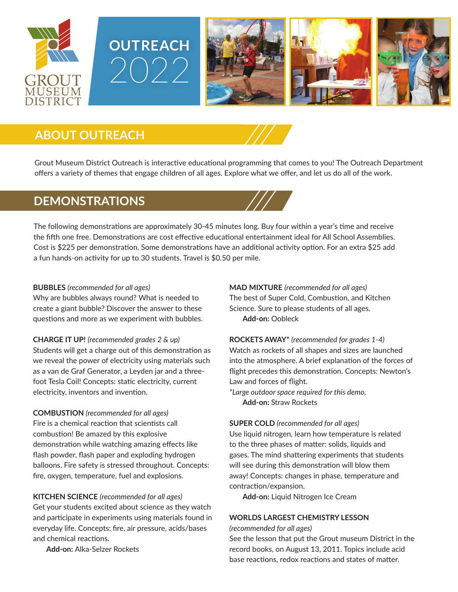





## **ABOUT OUTREACH**

Grout Museum District Outreach is interactive educational programming that comes to you! The Outreach Department offers a variety of themes that engage children of all ages. Explore what we offer, and let us do all of the work.

### **DEMONSTRATIONS**

The following demonstrations are approximately 30-45 minutes long. Buy four within a year's time and receive the fifth one free. Demonstrations are cost effective educational entertainment ideal for All School Assemblies. Cost is \$225 per demonstration. Some demonstrations have an additional activity option. For an extra \$25 add a fun hands-on activity for up to 30 students. Travel is \$0.50 per mile.

#### **BUBBLES** *(recommended for all ages)*

Why are bubbles always round? What is needed to create a giant bubble? Discover the answer to these questions and more as we experiment with bubbles.

**CHARGE IT UP!** *(recommended grades 2 & up)* Students will get a charge out of this demonstration as we reveal the power of electricity using materials such as a van de Graf Generator, a Leyden jar and a threefoot Tesla Coil! Concepts: static electricity, current electricity, inventors and invention.

**COMBUSTION** *(recommended for all ages)* Fire is a chemical reaction that scientists call combustion! Be amazed by this explosive demonstration while watching amazing effects like flash powder, flash paper and exploding hydrogen balloons. Fire safety is stressed throughout. Concepts: fire, oxygen, temperature, fuel and explosions.

**KITCHEN SCIENCE** *(recommended for all ages)* Get your students excited about science as they watch and participate in experiments using materials found in everyday life. Concepts: fire, air pressure, acids/bases and chemical reactions.

**Add-on:** Alka-Selzer Rockets

**MAD MIXTURE** *(recommended for all ages)* The best of Super Cold, Combustion, and Kitchen Science. Sure to please students of all ages. **Add-on:** Oobleck

**ROCKETS AWAY\*** *(recommended for grades 1-4)* Watch as rockets of all shapes and sizes are launched into the atmosphere. A brief explanation of the forces of flight precedes this demonstration. Concepts: Newton's Law and forces of flight.

*\*Large outdoor space required for this demo.* **Add-on:** Straw Rockets

#### **SUPER COLD** *(recommended for all ages)*

Use liquid nitrogen, learn how temperature is related to the three phases of matter: solids, liquids and gases. The mind shattering experiments that students will see during this demonstration will blow them away! Concepts: changes in phase, temperature and contraction/expansion.

**Add-on:** Liquid Nitrogen Ice Cream

#### **WORLDS LARGEST CHEMISTRY LESSON**

*(recommended for all ages)*

See the lesson that put the Grout museum District in the record books, on August 13, 2011. Topics include acid base reactions, redox reactions and states of matter.